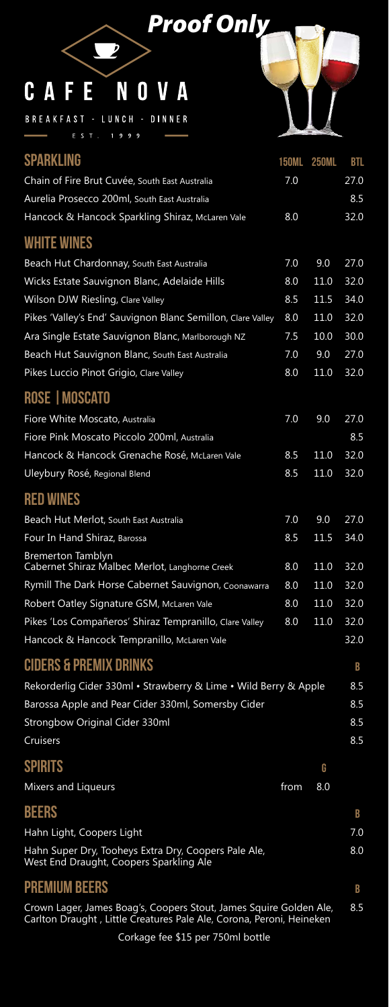| <b>SPARKLING</b>                                                           | <b>150ML</b> | <b>250ML</b> | <b>BTL</b> |
|----------------------------------------------------------------------------|--------------|--------------|------------|
| Chain of Fire Brut Cuvée, South East Australia                             | 7.0          |              | 27.0       |
| Aurelia Prosecco 200ml, South East Australia                               |              |              | 8.5        |
| Hancock & Hancock Sparkling Shiraz, McLaren Vale                           | 8.0          |              | 32.0       |
| <b>WHITE WINES</b>                                                         |              |              |            |
| Beach Hut Chardonnay, South East Australia                                 | 7.0          | 9.0          | 27.0       |
| Wicks Estate Sauvignon Blanc, Adelaide Hills                               | 8.0          | 11.0         | 32.0       |
| Wilson DJW Riesling, Clare Valley                                          | 8.5          | 11.5         | 34.0       |
| Pikes 'Valley's End' Sauvignon Blanc Semillon, Clare Valley                | 8.0          | 11.0         | 32.0       |
| Ara Single Estate Sauvignon Blanc, Marlborough NZ                          | 7.5          | 10.0         | 30.0       |
| Beach Hut Sauvignon Blanc, South East Australia                            | 7.0          | 9.0          | 27.0       |
| Pikes Luccio Pinot Grigio, Clare Valley                                    | 8.0          | 11.0         | 32.0       |
| ROSE   MOSCATO                                                             |              |              |            |
| Fiore White Moscato, Australia                                             | 7.0          | 9.0          | 27.0       |
| Fiore Pink Moscato Piccolo 200ml, Australia                                |              |              | 8.5        |
| Hancock & Hancock Grenache Rosé, McLaren Vale                              | 8.5          | 11.0         | 32.0       |
| Uleybury Rosé, Regional Blend                                              | 8.5          | 11.0         | 32.0       |
| <b>RED WINES</b>                                                           |              |              |            |
| Beach Hut Merlot, South East Australia                                     | 7.0          | 9.0          | 27.0       |
| Four In Hand Shiraz, Barossa                                               | 8.5          | 11.5         | 34.0       |
| <b>Bremerton Tamblyn</b><br>Cabernet Shiraz Malbec Merlot, Langhorne Creek | 8.0          | 11.0         | 32.0       |
| Rymill The Dark Horse Cabernet Sauvignon, Coonawarra                       | 8.0          | 11.0         | 32.0       |

| Mixers and Liqueurs                                                                                                                        | from | 8.0 |
|--------------------------------------------------------------------------------------------------------------------------------------------|------|-----|
| <b>BEERS</b>                                                                                                                               |      | B   |
| Hahn Light, Coopers Light                                                                                                                  |      | 7.0 |
| Hahn Super Dry, Tooheys Extra Dry, Coopers Pale Ale,<br>West End Draught, Coopers Sparkling Ale                                            |      | 8.0 |
| <b>PREMIUM BEERS</b>                                                                                                                       |      | B   |
| Crown Lager, James Boag's, Coopers Stout, James Squire Golden Ale,<br>Carlton Draught, Little Creatures Pale Ale, Corona, Peroni, Heineken |      | 8.5 |
| Corkage fee \$15 per 750ml bottle                                                                                                          |      |     |

| Robert Oatley Signature GSM, McLaren Vale               | 8.0 11.0 32.0 |      |
|---------------------------------------------------------|---------------|------|
| Pikes 'Los Compañeros' Shiraz Tempranillo, Clare Valley | 8.0 11.0 32.0 |      |
| Hancock & Hancock Tempranillo, McLaren Vale             |               | 32.0 |

### ciders & premix drinks B

Rekorderlig Cider 330ml • Strawberry & Lime • Wild Berry & Apple 8.5 Barossa Apple and Pear Cider 330ml, Somersby Cider 8.5 Strongbow Original Cider 330ml 8.5 Cruisers 8.5

### SPIRITS **G**



## *Proof Only*

#### C A N 0 V A F E.

 $\Box$ 

BREAKFAST - LUNCH - DINNER E S T . 1 9 9 9